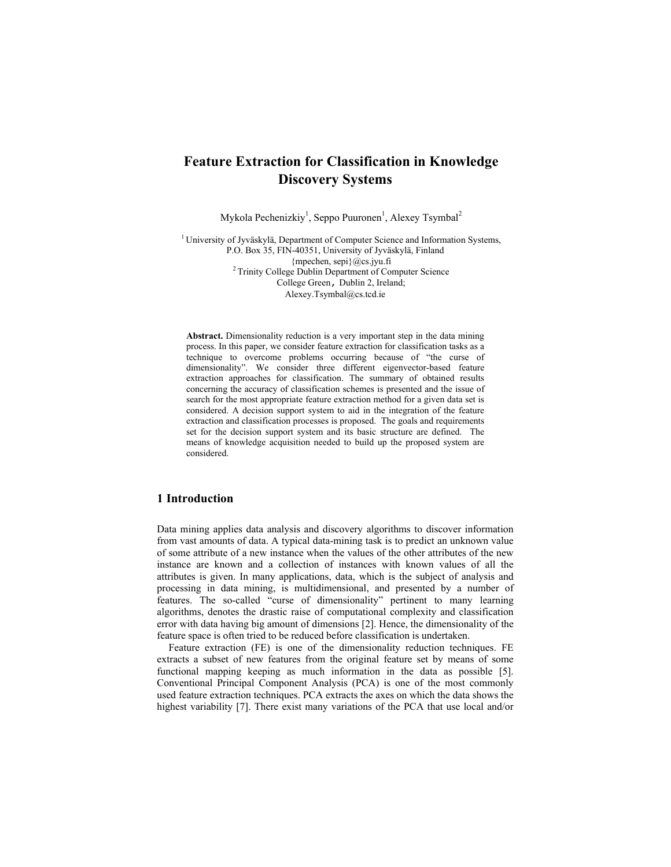# **Feature Extraction for Classification in Knowledge Discovery Systems**

Mykola Pechenizkiy<sup>1</sup>, Seppo Puuronen<sup>1</sup>, Alexey Tsymbal<sup>2</sup>

<sup>1</sup> University of Jyväskylä, Department of Computer Science and Information Systems, P.O. Box 35, FIN-40351, University of Jyväskylä, Finland  $2$  Trinity College Dublin Department of Computer Science College Green, Dublin 2, Ireland; Alexey.Tsymbal@cs.tcd.ie

**Abstract.** Dimensionality reduction is a very important step in the data mining process. In this paper, we consider feature extraction for classification tasks as a technique to overcome problems occurring because of "the curse of dimensionality". We consider three different eigenvector-based feature extraction approaches for classification. The summary of obtained results concerning the accuracy of classification schemes is presented and the issue of search for the most appropriate feature extraction method for a given data set is considered. A decision support system to aid in the integration of the feature extraction and classification processes is proposed. The goals and requirements set for the decision support system and its basic structure are defined. The means of knowledge acquisition needed to build up the proposed system are considered.

## **1 Introduction**

Data mining applies data analysis and discovery algorithms to discover information from vast amounts of data. A typical data-mining task is to predict an unknown value of some attribute of a new instance when the values of the other attributes of the new instance are known and a collection of instances with known values of all the attributes is given. In many applications, data, which is the subject of analysis and processing in data mining, is multidimensional, and presented by a number of features. The so-called "curse of dimensionality" pertinent to many learning algorithms, denotes the drastic raise of computational complexity and classification error with data having big amount of dimensions [2]. Hence, the dimensionality of the feature space is often tried to be reduced before classification is undertaken.

Feature extraction (FE) is one of the dimensionality reduction techniques. FE extracts a subset of new features from the original feature set by means of some functional mapping keeping as much information in the data as possible [5]. Conventional Principal Component Analysis (PCA) is one of the most commonly used feature extraction techniques. PCA extracts the axes on which the data shows the highest variability [7]. There exist many variations of the PCA that use local and/or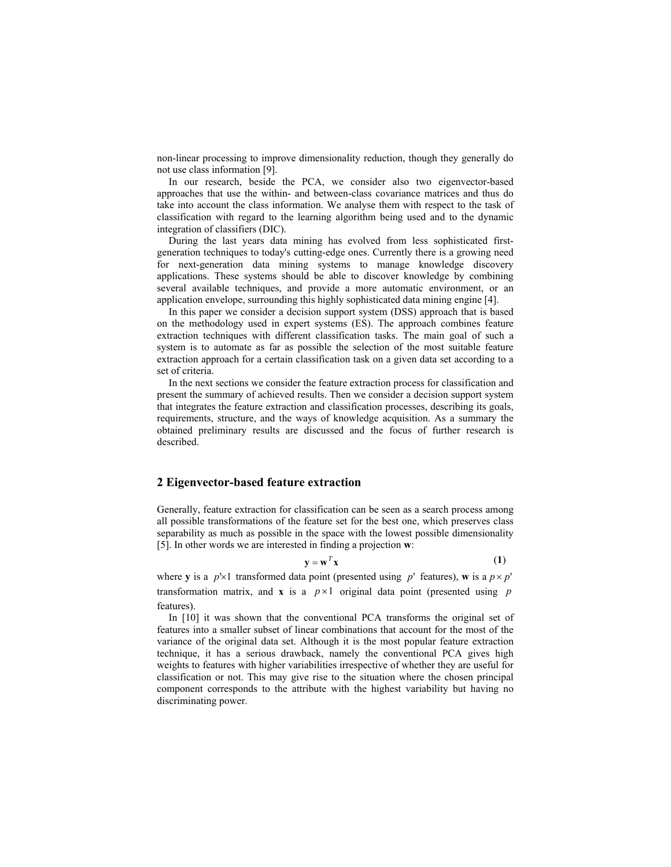non-linear processing to improve dimensionality reduction, though they generally do not use class information [9].

In our research, beside the PCA, we consider also two eigenvector-based approaches that use the within- and between-class covariance matrices and thus do take into account the class information. We analyse them with respect to the task of classification with regard to the learning algorithm being used and to the dynamic integration of classifiers (DIC).

During the last years data mining has evolved from less sophisticated firstgeneration techniques to today's cutting-edge ones. Currently there is a growing need for next-generation data mining systems to manage knowledge discovery applications. These systems should be able to discover knowledge by combining several available techniques, and provide a more automatic environment, or an application envelope, surrounding this highly sophisticated data mining engine [4].

In this paper we consider a decision support system (DSS) approach that is based on the methodology used in expert systems (ES). The approach combines feature extraction techniques with different classification tasks. The main goal of such a system is to automate as far as possible the selection of the most suitable feature extraction approach for a certain classification task on a given data set according to a set of criteria.

In the next sections we consider the feature extraction process for classification and present the summary of achieved results. Then we consider a decision support system that integrates the feature extraction and classification processes, describing its goals, requirements, structure, and the ways of knowledge acquisition. As a summary the obtained preliminary results are discussed and the focus of further research is described.

#### **2 Eigenvector-based feature extraction**

Generally, feature extraction for classification can be seen as a search process among all possible transformations of the feature set for the best one, which preserves class separability as much as possible in the space with the lowest possible dimensionality [5]. In other words we are interested in finding a projection **w**:

$$
\mathbf{y} = \mathbf{w}^T \mathbf{x} \tag{1}
$$

where **y** is a  $p \times 1$  transformed data point (presented using  $p'$  features), **w** is a  $p \times p'$ transformation matrix, and **x** is a  $p \times 1$  original data point (presented using *p* features).

In [10] it was shown that the conventional PCA transforms the original set of features into a smaller subset of linear combinations that account for the most of the variance of the original data set. Although it is the most popular feature extraction technique, it has a serious drawback, namely the conventional PCA gives high weights to features with higher variabilities irrespective of whether they are useful for classification or not. This may give rise to the situation where the chosen principal component corresponds to the attribute with the highest variability but having no discriminating power.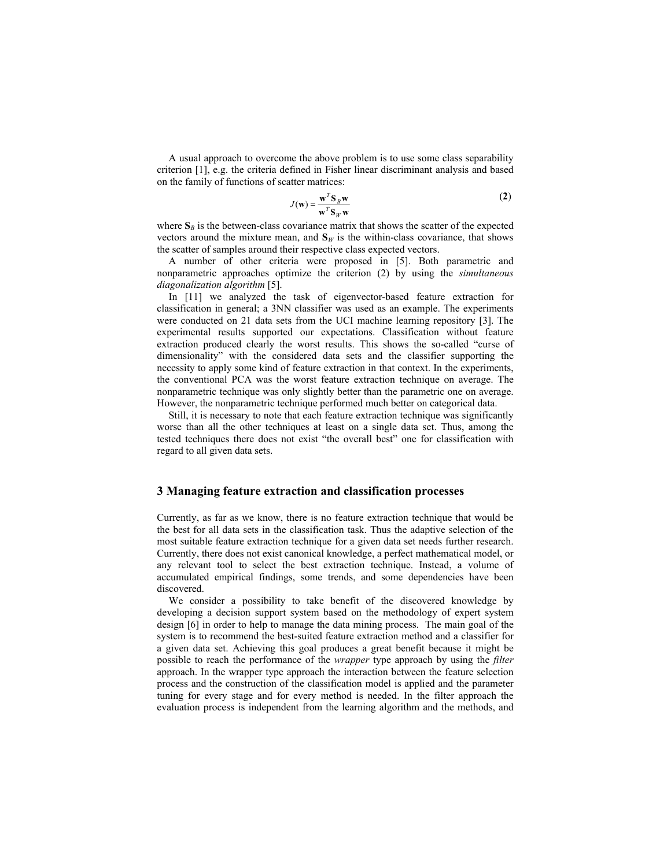A usual approach to overcome the above problem is to use some class separability criterion [1], e.g. the criteria defined in Fisher linear discriminant analysis and based on the family of functions of scatter matrices:

$$
J(\mathbf{w}) = \frac{\mathbf{w}^T \mathbf{S}_B \mathbf{w}}{\mathbf{w}^T \mathbf{S}_W \mathbf{w}}
$$
 (2)

where  $S_B$  is the between-class covariance matrix that shows the scatter of the expected vectors around the mixture mean, and  $S_W$  is the within-class covariance, that shows the scatter of samples around their respective class expected vectors.

A number of other criteria were proposed in [5]. Both parametric and nonparametric approaches optimize the criterion (2) by using the *simultaneous diagonalization algorithm* [5].

In [11] we analyzed the task of eigenvector-based feature extraction for classification in general; a 3NN classifier was used as an example. The experiments were conducted on 21 data sets from the UCI machine learning repository [3]. The experimental results supported our expectations. Classification without feature extraction produced clearly the worst results. This shows the so-called "curse of dimensionality" with the considered data sets and the classifier supporting the necessity to apply some kind of feature extraction in that context. In the experiments, the conventional PCA was the worst feature extraction technique on average. The nonparametric technique was only slightly better than the parametric one on average. However, the nonparametric technique performed much better on categorical data.

Still, it is necessary to note that each feature extraction technique was significantly worse than all the other techniques at least on a single data set. Thus, among the tested techniques there does not exist "the overall best" one for classification with regard to all given data sets.

#### **3 Managing feature extraction and classification processes**

Currently, as far as we know, there is no feature extraction technique that would be the best for all data sets in the classification task. Thus the adaptive selection of the most suitable feature extraction technique for a given data set needs further research. Currently, there does not exist canonical knowledge, a perfect mathematical model, or any relevant tool to select the best extraction technique. Instead, a volume of accumulated empirical findings, some trends, and some dependencies have been discovered.

We consider a possibility to take benefit of the discovered knowledge by developing a decision support system based on the methodology of expert system design [6] in order to help to manage the data mining process. The main goal of the system is to recommend the best-suited feature extraction method and a classifier for a given data set. Achieving this goal produces a great benefit because it might be possible to reach the performance of the *wrapper* type approach by using the *filter* approach. In the wrapper type approach the interaction between the feature selection process and the construction of the classification model is applied and the parameter tuning for every stage and for every method is needed. In the filter approach the evaluation process is independent from the learning algorithm and the methods, and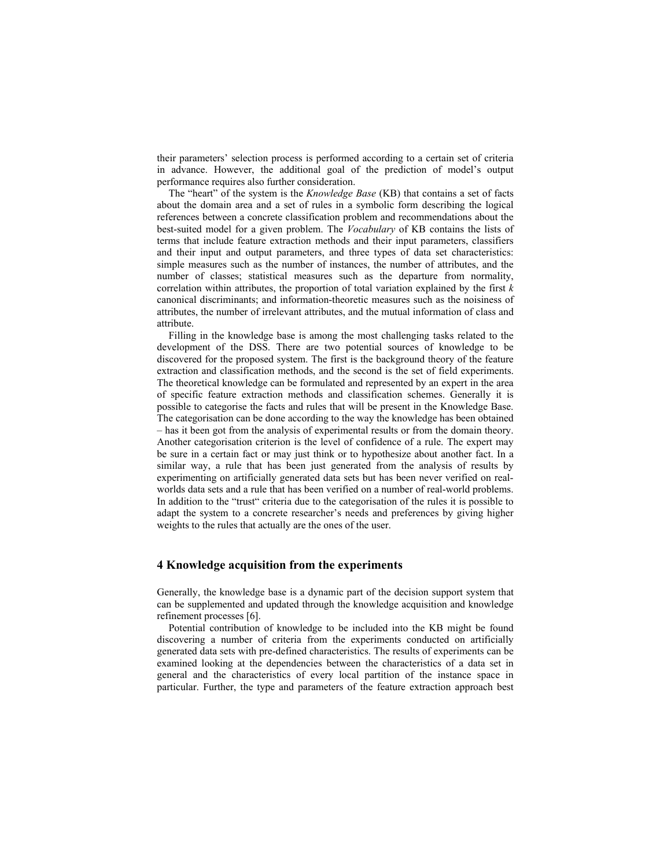their parameters' selection process is performed according to a certain set of criteria in advance. However, the additional goal of the prediction of model's output performance requires also further consideration.

The "heart" of the system is the *Knowledge Base* (KB) that contains a set of facts about the domain area and a set of rules in a symbolic form describing the logical references between a concrete classification problem and recommendations about the best-suited model for a given problem. The *Vocabulary* of KB contains the lists of terms that include feature extraction methods and their input parameters, classifiers and their input and output parameters, and three types of data set characteristics: simple measures such as the number of instances, the number of attributes, and the number of classes; statistical measures such as the departure from normality, correlation within attributes, the proportion of total variation explained by the first *k* canonical discriminants; and information-theoretic measures such as the noisiness of attributes, the number of irrelevant attributes, and the mutual information of class and attribute.

Filling in the knowledge base is among the most challenging tasks related to the development of the DSS. There are two potential sources of knowledge to be discovered for the proposed system. The first is the background theory of the feature extraction and classification methods, and the second is the set of field experiments. The theoretical knowledge can be formulated and represented by an expert in the area of specific feature extraction methods and classification schemes. Generally it is possible to categorise the facts and rules that will be present in the Knowledge Base. The categorisation can be done according to the way the knowledge has been obtained – has it been got from the analysis of experimental results or from the domain theory. Another categorisation criterion is the level of confidence of a rule. The expert may be sure in a certain fact or may just think or to hypothesize about another fact. In a similar way, a rule that has been just generated from the analysis of results by experimenting on artificially generated data sets but has been never verified on realworlds data sets and a rule that has been verified on a number of real-world problems. In addition to the "trust" criteria due to the categorisation of the rules it is possible to adapt the system to a concrete researcher's needs and preferences by giving higher weights to the rules that actually are the ones of the user.

### **4 Knowledge acquisition from the experiments**

Generally, the knowledge base is a dynamic part of the decision support system that can be supplemented and updated through the knowledge acquisition and knowledge refinement processes [6].

Potential contribution of knowledge to be included into the KB might be found discovering a number of criteria from the experiments conducted on artificially generated data sets with pre-defined characteristics. The results of experiments can be examined looking at the dependencies between the characteristics of a data set in general and the characteristics of every local partition of the instance space in particular. Further, the type and parameters of the feature extraction approach best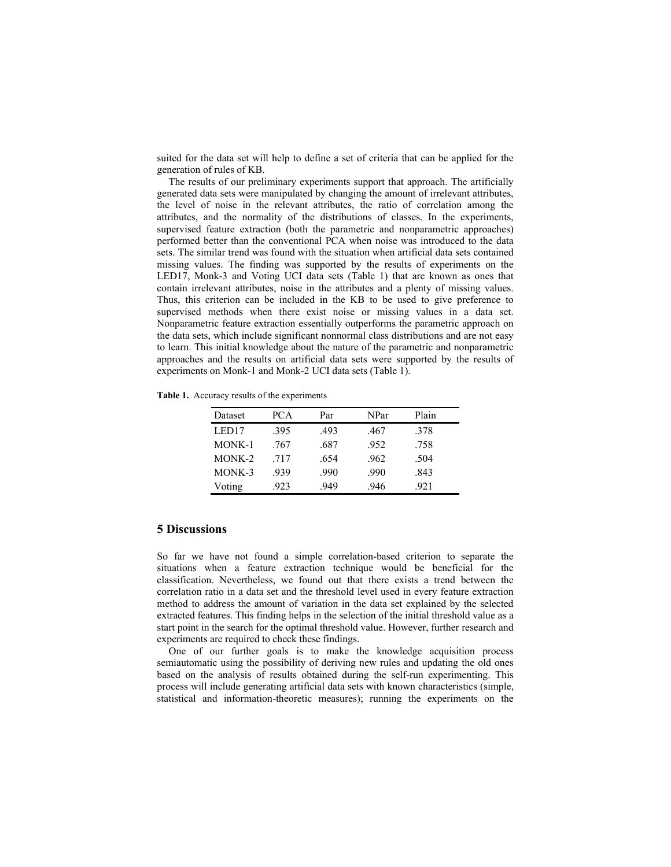suited for the data set will help to define a set of criteria that can be applied for the generation of rules of KB.

The results of our preliminary experiments support that approach. The artificially generated data sets were manipulated by changing the amount of irrelevant attributes, the level of noise in the relevant attributes, the ratio of correlation among the attributes, and the normality of the distributions of classes. In the experiments, supervised feature extraction (both the parametric and nonparametric approaches) performed better than the conventional PCA when noise was introduced to the data sets. The similar trend was found with the situation when artificial data sets contained missing values. The finding was supported by the results of experiments on the LED17, Monk-3 and Voting UCI data sets (Table 1) that are known as ones that contain irrelevant attributes, noise in the attributes and a plenty of missing values. Thus, this criterion can be included in the KB to be used to give preference to supervised methods when there exist noise or missing values in a data set. Nonparametric feature extraction essentially outperforms the parametric approach on the data sets, which include significant nonnormal class distributions and are not easy to learn. This initial knowledge about the nature of the parametric and nonparametric approaches and the results on artificial data sets were supported by the results of experiments on Monk-1 and Monk-2 UCI data sets (Table 1).

**Table 1.** Accuracy results of the experiments

| Dataset           | <b>PCA</b> | Par  | NPar | Plain |
|-------------------|------------|------|------|-------|
| LED <sub>17</sub> | 395        | .493 | .467 | .378  |
| MONK-1            | .767       | .687 | .952 | .758  |
| MONK-2            | 717        | -654 | .962 | .504  |
| MONK-3            | .939       | 990  | .990 | .843  |
| Voting            | .923       | 949  | .946 | .921  |

#### **5 Discussions**

So far we have not found a simple correlation-based criterion to separate the situations when a feature extraction technique would be beneficial for the classification. Nevertheless, we found out that there exists a trend between the correlation ratio in a data set and the threshold level used in every feature extraction method to address the amount of variation in the data set explained by the selected extracted features. This finding helps in the selection of the initial threshold value as a start point in the search for the optimal threshold value. However, further research and experiments are required to check these findings.

One of our further goals is to make the knowledge acquisition process semiautomatic using the possibility of deriving new rules and updating the old ones based on the analysis of results obtained during the self-run experimenting. This process will include generating artificial data sets with known characteristics (simple, statistical and information-theoretic measures); running the experiments on the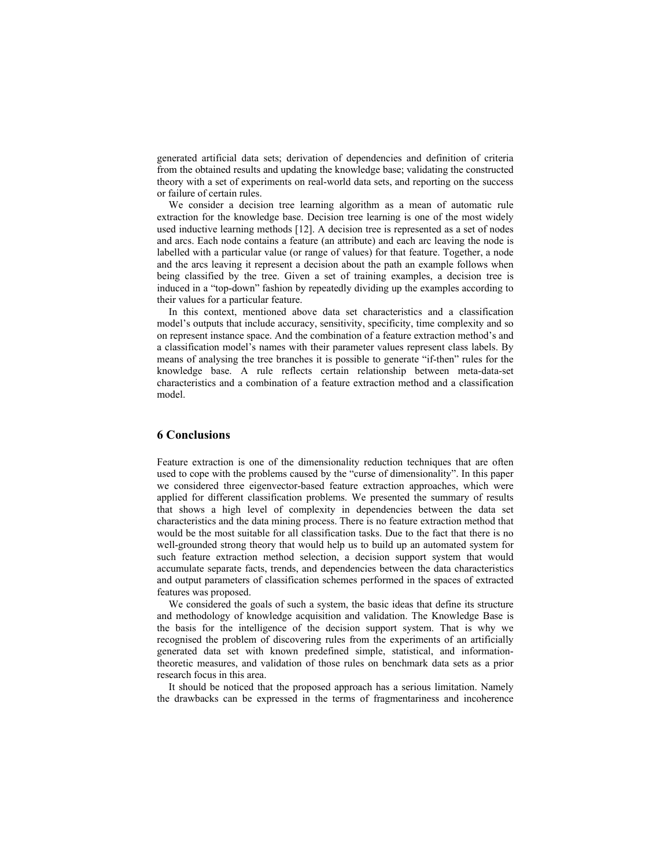generated artificial data sets; derivation of dependencies and definition of criteria from the obtained results and updating the knowledge base; validating the constructed theory with a set of experiments on real-world data sets, and reporting on the success or failure of certain rules.

We consider a decision tree learning algorithm as a mean of automatic rule extraction for the knowledge base. Decision tree learning is one of the most widely used inductive learning methods [12]. A decision tree is represented as a set of nodes and arcs. Each node contains a feature (an attribute) and each arc leaving the node is labelled with a particular value (or range of values) for that feature. Together, a node and the arcs leaving it represent a decision about the path an example follows when being classified by the tree. Given a set of training examples, a decision tree is induced in a "top-down" fashion by repeatedly dividing up the examples according to their values for a particular feature.

In this context, mentioned above data set characteristics and a classification model's outputs that include accuracy, sensitivity, specificity, time complexity and so on represent instance space. And the combination of a feature extraction method's and a classification model's names with their parameter values represent class labels. By means of analysing the tree branches it is possible to generate "if-then" rules for the knowledge base. A rule reflects certain relationship between meta-data-set characteristics and a combination of a feature extraction method and a classification model.

## **6 Conclusions**

Feature extraction is one of the dimensionality reduction techniques that are often used to cope with the problems caused by the "curse of dimensionality". In this paper we considered three eigenvector-based feature extraction approaches, which were applied for different classification problems. We presented the summary of results that shows a high level of complexity in dependencies between the data set characteristics and the data mining process. There is no feature extraction method that would be the most suitable for all classification tasks. Due to the fact that there is no well-grounded strong theory that would help us to build up an automated system for such feature extraction method selection, a decision support system that would accumulate separate facts, trends, and dependencies between the data characteristics and output parameters of classification schemes performed in the spaces of extracted features was proposed.

We considered the goals of such a system, the basic ideas that define its structure and methodology of knowledge acquisition and validation. The Knowledge Base is the basis for the intelligence of the decision support system. That is why we recognised the problem of discovering rules from the experiments of an artificially generated data set with known predefined simple, statistical, and informationtheoretic measures, and validation of those rules on benchmark data sets as a prior research focus in this area.

It should be noticed that the proposed approach has a serious limitation. Namely the drawbacks can be expressed in the terms of fragmentariness and incoherence